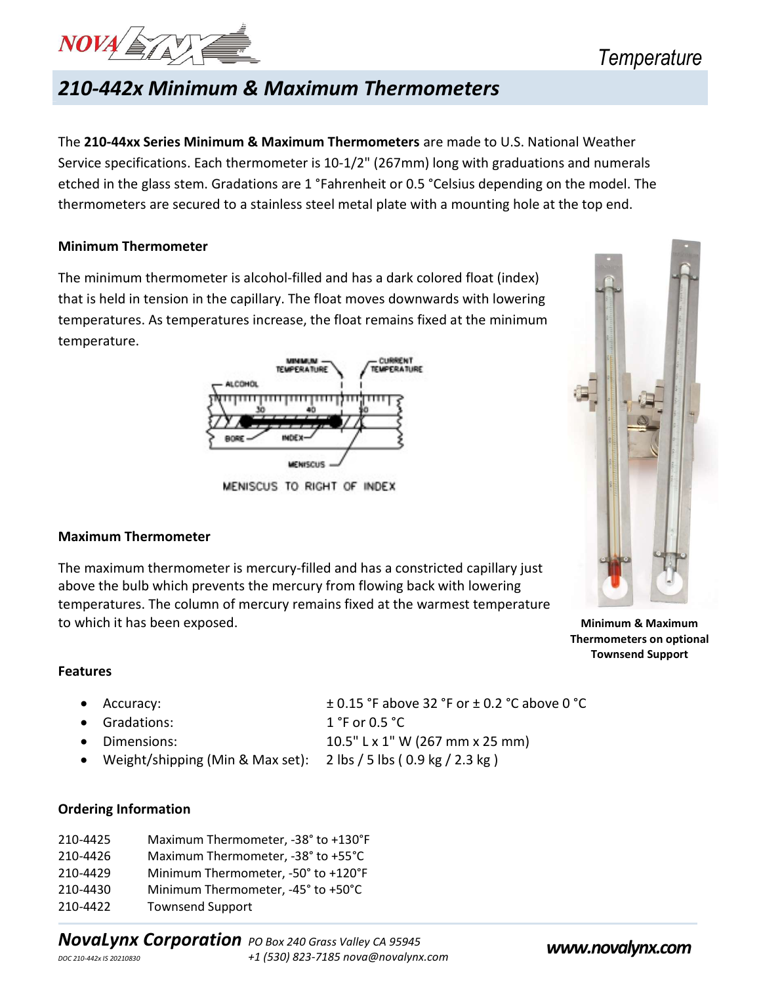

## 210-442x Minimum & Maximum Thermometers

The 210-44xx Series Minimum & Maximum Thermometers are made to U.S. National Weather Service specifications. Each thermometer is 10-1/2" (267mm) long with graduations and numerals etched in the glass stem. Gradations are 1 °Fahrenheit or 0.5 °Celsius depending on the model. The thermometers are secured to a stainless steel metal plate with a mounting hole at the top end.

### Minimum Thermometer

The minimum thermometer is alcohol-filled and has a dark colored float (index) that is held in tension in the capillary. The float moves downwards with lowering temperatures. As temperatures increase, the float remains fixed at the minimum temperature.



MENISCUS TO RIGHT OF INDEX

### Maximum Thermometer

The maximum thermometer is mercury-filled and has a constricted capillary just above the bulb which prevents the mercury from flowing back with lowering temperatures. The column of mercury remains fixed at the warmest temperature to which it has been exposed. The state of the state of the Minimum & Maximum & Maximum

 Thermometers on optional Townsend Support

### Features

- Accuracy: ± 0.15 °F above 32 °F or ± 0.2 °C above 0 °C
- Gradations: 1 °F or 0.5 °C
- 

Weight/shipping (Min & Max set): 2 lbs / 5 lbs ( 0.9 kg / 2.3 kg )

• Dimensions:  $10.5"$  L x 1" W (267 mm x 25 mm)

### Ordering Information

| 210-4425 | Maximum Thermometer, -38° to +130°F |
|----------|-------------------------------------|
| 210-4426 | Maximum Thermometer, -38° to +55°C  |
| 210-4429 | Minimum Thermometer, -50° to +120°F |
| 210-4430 | Minimum Thermometer, -45° to +50°C  |
| 210-4422 | <b>Townsend Support</b>             |

NovaLynx Corporation PO Box 240 Grass Valley CA 95945<br>  $\frac{1}{1}$  (530) 823-7185 nova@novalynx.com **www.novalynx.com**